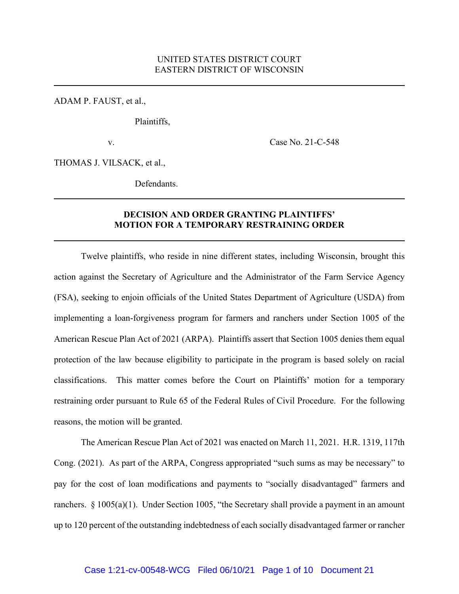ADAM P. FAUST, et al.,

Plaintiffs,

v. Case No. 21-C-548

THOMAS J. VILSACK, et al.,

Defendants.

## **DECISION AND ORDER GRANTING PLAINTIFFS' MOTION FOR A TEMPORARY RESTRAINING ORDER**

Twelve plaintiffs, who reside in nine different states, including Wisconsin, brought this action against the Secretary of Agriculture and the Administrator of the Farm Service Agency (FSA), seeking to enjoin officials of the United States Department of Agriculture (USDA) from implementing a loan-forgiveness program for farmers and ranchers under Section 1005 of the American Rescue Plan Act of 2021 (ARPA). Plaintiffs assert that Section 1005 denies them equal protection of the law because eligibility to participate in the program is based solely on racial classifications. This matter comes before the Court on Plaintiffs' motion for a temporary restraining order pursuant to Rule 65 of the Federal Rules of Civil Procedure. For the following reasons, the motion will be granted.

The American Rescue Plan Act of 2021 was enacted on March 11, 2021. H.R. 1319, 117th Cong. (2021). As part of the ARPA, Congress appropriated "such sums as may be necessary" to pay for the cost of loan modifications and payments to "socially disadvantaged" farmers and ranchers. § 1005(a)(1). Under Section 1005, "the Secretary shall provide a payment in an amount up to 120 percent of the outstanding indebtedness of each socially disadvantaged farmer or rancher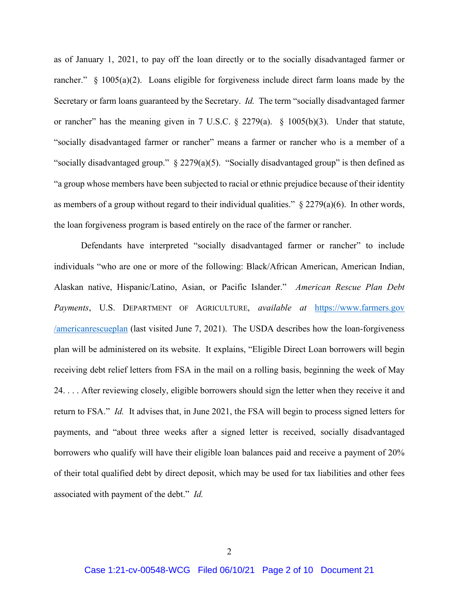as of January 1, 2021, to pay off the loan directly or to the socially disadvantaged farmer or rancher." § 1005(a)(2). Loans eligible for forgiveness include direct farm loans made by the Secretary or farm loans guaranteed by the Secretary. *Id.* The term "socially disadvantaged farmer or rancher" has the meaning given in 7 U.S.C.  $\S$  2279(a).  $\S$  1005(b)(3). Under that statute, "socially disadvantaged farmer or rancher" means a farmer or rancher who is a member of a "socially disadvantaged group." § 2279(a)(5). "Socially disadvantaged group" is then defined as "a group whose members have been subjected to racial or ethnic prejudice because of their identity as members of a group without regard to their individual qualities."  $\S 2279(a)(6)$ . In other words, the loan forgiveness program is based entirely on the race of the farmer or rancher.

Defendants have interpreted "socially disadvantaged farmer or rancher" to include individuals "who are one or more of the following: Black/African American, American Indian, Alaskan native, Hispanic/Latino, Asian, or Pacific Islander." *American Rescue Plan Debt Payments*, U.S. DEPARTMENT OF AGRICULTURE, *available at* https://www.farmers.gov /americanrescueplan (last visited June 7, 2021). The USDA describes how the loan-forgiveness plan will be administered on its website. It explains, "Eligible Direct Loan borrowers will begin receiving debt relief letters from FSA in the mail on a rolling basis, beginning the week of May 24. . . . After reviewing closely, eligible borrowers should sign the letter when they receive it and return to FSA." *Id.* It advises that, in June 2021, the FSA will begin to process signed letters for payments, and "about three weeks after a signed letter is received, socially disadvantaged borrowers who qualify will have their eligible loan balances paid and receive a payment of 20% of their total qualified debt by direct deposit, which may be used for tax liabilities and other fees associated with payment of the debt." *Id.*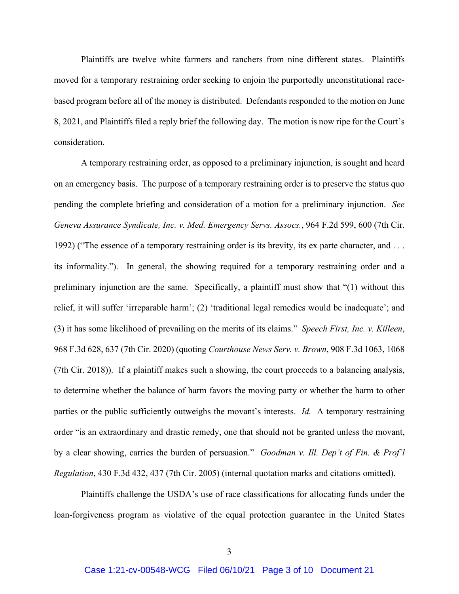Plaintiffs are twelve white farmers and ranchers from nine different states. Plaintiffs moved for a temporary restraining order seeking to enjoin the purportedly unconstitutional racebased program before all of the money is distributed. Defendants responded to the motion on June 8, 2021, and Plaintiffs filed a reply brief the following day. The motion is now ripe for the Court's consideration.

A temporary restraining order, as opposed to a preliminary injunction, is sought and heard on an emergency basis. The purpose of a temporary restraining order is to preserve the status quo pending the complete briefing and consideration of a motion for a preliminary injunction. *See Geneva Assurance Syndicate, Inc. v. Med. Emergency Servs. Assocs.*, 964 F.2d 599, 600 (7th Cir. 1992) ("The essence of a temporary restraining order is its brevity, its ex parte character, and . . . its informality."). In general, the showing required for a temporary restraining order and a preliminary injunction are the same. Specifically, a plaintiff must show that "(1) without this relief, it will suffer 'irreparable harm'; (2) 'traditional legal remedies would be inadequate'; and (3) it has some likelihood of prevailing on the merits of its claims." *Speech First, Inc. v. Killeen*, 968 F.3d 628, 637 (7th Cir. 2020) (quoting *Courthouse News Serv. v. Brown*, 908 F.3d 1063, 1068 (7th Cir. 2018)). If a plaintiff makes such a showing, the court proceeds to a balancing analysis, to determine whether the balance of harm favors the moving party or whether the harm to other parties or the public sufficiently outweighs the movant's interests. *Id.* A temporary restraining order "is an extraordinary and drastic remedy, one that should not be granted unless the movant, by a clear showing, carries the burden of persuasion." *Goodman v. Ill. Dep't of Fin. & Prof'l Regulation*, 430 F.3d 432, 437 (7th Cir. 2005) (internal quotation marks and citations omitted).

Plaintiffs challenge the USDA's use of race classifications for allocating funds under the loan-forgiveness program as violative of the equal protection guarantee in the United States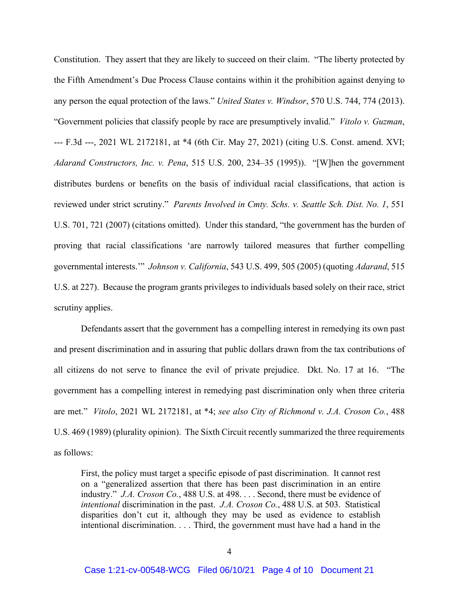Constitution. They assert that they are likely to succeed on their claim. "The liberty protected by the Fifth Amendment's Due Process Clause contains within it the prohibition against denying to any person the equal protection of the laws." *United States v. Windsor*, 570 U.S. 744, 774 (2013). "Government policies that classify people by race are presumptively invalid." *Vitolo v. Guzman*, --- F.3d ---, 2021 WL 2172181, at \*4 (6th Cir. May 27, 2021) (citing U.S. Const. amend. XVI; *Adarand Constructors, Inc. v. Pena*, 515 U.S. 200, 234–35 (1995)). "[W]hen the government distributes burdens or benefits on the basis of individual racial classifications, that action is reviewed under strict scrutiny." *Parents Involved in Cmty. Schs. v. Seattle Sch. Dist. No. 1*, 551 U.S. 701, 721 (2007) (citations omitted). Under this standard, "the government has the burden of proving that racial classifications 'are narrowly tailored measures that further compelling governmental interests.'" *Johnson v. California*, 543 U.S. 499, 505 (2005) (quoting *Adarand*, 515 U.S. at 227). Because the program grants privileges to individuals based solely on their race, strict scrutiny applies.

Defendants assert that the government has a compelling interest in remedying its own past and present discrimination and in assuring that public dollars drawn from the tax contributions of all citizens do not serve to finance the evil of private prejudice. Dkt. No. 17 at 16. "The government has a compelling interest in remedying past discrimination only when three criteria are met." *Vitolo*, 2021 WL 2172181, at \*4; *see also City of Richmond v. J.A. Croson Co.*, 488 U.S. 469 (1989) (plurality opinion). The Sixth Circuit recently summarized the three requirements as follows:

First, the policy must target a specific episode of past discrimination. It cannot rest on a "generalized assertion that there has been past discrimination in an entire industry." *J.A. Croson Co.*, 488 U.S. at 498. . . . Second, there must be evidence of *intentional* discrimination in the past. *J.A. Croson Co.*, 488 U.S. at 503. Statistical disparities don't cut it, although they may be used as evidence to establish intentional discrimination. . . . Third, the government must have had a hand in the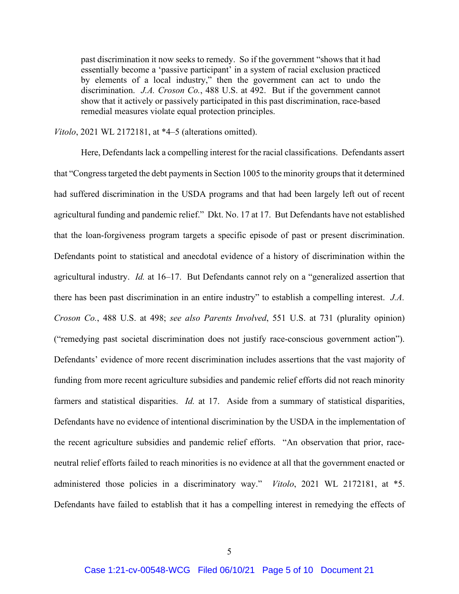past discrimination it now seeks to remedy. So if the government "shows that it had essentially become a 'passive participant' in a system of racial exclusion practiced by elements of a local industry," then the government can act to undo the discrimination. *J.A. Croson Co.*, 488 U.S. at 492. But if the government cannot show that it actively or passively participated in this past discrimination, race-based remedial measures violate equal protection principles.

*Vitolo*, 2021 WL 2172181, at \*4–5 (alterations omitted).

Here, Defendants lack a compelling interest for the racial classifications. Defendants assert that "Congress targeted the debt payments in Section 1005 to the minority groups that it determined had suffered discrimination in the USDA programs and that had been largely left out of recent agricultural funding and pandemic relief." Dkt. No. 17 at 17. But Defendants have not established that the loan-forgiveness program targets a specific episode of past or present discrimination. Defendants point to statistical and anecdotal evidence of a history of discrimination within the agricultural industry. *Id.* at 16–17. But Defendants cannot rely on a "generalized assertion that there has been past discrimination in an entire industry" to establish a compelling interest. *J.A. Croson Co.*, 488 U.S. at 498; *see also Parents Involved*, 551 U.S. at 731 (plurality opinion) ("remedying past societal discrimination does not justify race-conscious government action"). Defendants' evidence of more recent discrimination includes assertions that the vast majority of funding from more recent agriculture subsidies and pandemic relief efforts did not reach minority farmers and statistical disparities. *Id.* at 17. Aside from a summary of statistical disparities, Defendants have no evidence of intentional discrimination by the USDA in the implementation of the recent agriculture subsidies and pandemic relief efforts. "An observation that prior, raceneutral relief efforts failed to reach minorities is no evidence at all that the government enacted or administered those policies in a discriminatory way." *Vitolo*, 2021 WL 2172181, at \*5. Defendants have failed to establish that it has a compelling interest in remedying the effects of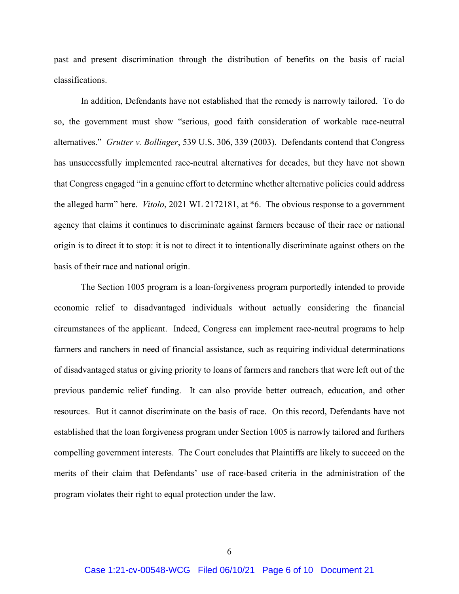past and present discrimination through the distribution of benefits on the basis of racial classifications.

In addition, Defendants have not established that the remedy is narrowly tailored. To do so, the government must show "serious, good faith consideration of workable race-neutral alternatives." *Grutter v. Bollinger*, 539 U.S. 306, 339 (2003). Defendants contend that Congress has unsuccessfully implemented race-neutral alternatives for decades, but they have not shown that Congress engaged "in a genuine effort to determine whether alternative policies could address the alleged harm" here. *Vitolo*, 2021 WL 2172181, at \*6. The obvious response to a government agency that claims it continues to discriminate against farmers because of their race or national origin is to direct it to stop: it is not to direct it to intentionally discriminate against others on the basis of their race and national origin.

The Section 1005 program is a loan-forgiveness program purportedly intended to provide economic relief to disadvantaged individuals without actually considering the financial circumstances of the applicant. Indeed, Congress can implement race-neutral programs to help farmers and ranchers in need of financial assistance, such as requiring individual determinations of disadvantaged status or giving priority to loans of farmers and ranchers that were left out of the previous pandemic relief funding. It can also provide better outreach, education, and other resources. But it cannot discriminate on the basis of race. On this record, Defendants have not established that the loan forgiveness program under Section 1005 is narrowly tailored and furthers compelling government interests. The Court concludes that Plaintiffs are likely to succeed on the merits of their claim that Defendants' use of race-based criteria in the administration of the program violates their right to equal protection under the law.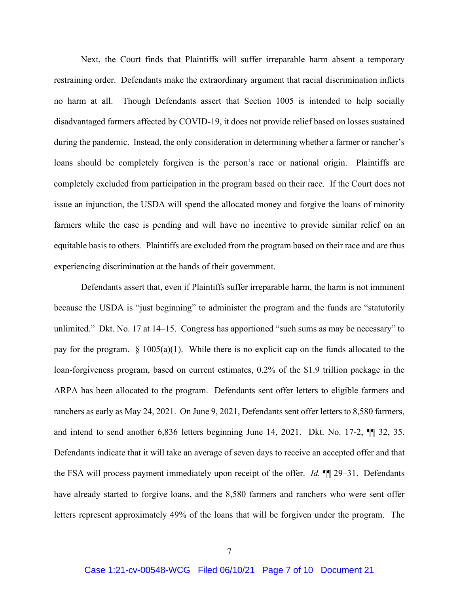Next, the Court finds that Plaintiffs will suffer irreparable harm absent a temporary restraining order. Defendants make the extraordinary argument that racial discrimination inflicts no harm at all. Though Defendants assert that Section 1005 is intended to help socially disadvantaged farmers affected by COVID-19, it does not provide relief based on losses sustained during the pandemic. Instead, the only consideration in determining whether a farmer or rancher's loans should be completely forgiven is the person's race or national origin. Plaintiffs are completely excluded from participation in the program based on their race. If the Court does not issue an injunction, the USDA will spend the allocated money and forgive the loans of minority farmers while the case is pending and will have no incentive to provide similar relief on an equitable basis to others. Plaintiffs are excluded from the program based on their race and are thus experiencing discrimination at the hands of their government.

Defendants assert that, even if Plaintiffs suffer irreparable harm, the harm is not imminent because the USDA is "just beginning" to administer the program and the funds are "statutorily unlimited." Dkt. No. 17 at 14–15. Congress has apportioned "such sums as may be necessary" to pay for the program.  $\S$  1005(a)(1). While there is no explicit cap on the funds allocated to the loan-forgiveness program, based on current estimates, 0.2% of the \$1.9 trillion package in the ARPA has been allocated to the program. Defendants sent offer letters to eligible farmers and ranchers as early as May 24, 2021. On June 9, 2021, Defendants sent offer letters to 8,580 farmers, and intend to send another 6,836 letters beginning June 14, 2021. Dkt. No. 17-2, ¶¶ 32, 35. Defendants indicate that it will take an average of seven days to receive an accepted offer and that the FSA will process payment immediately upon receipt of the offer. *Id.* ¶¶ 29–31. Defendants have already started to forgive loans, and the 8,580 farmers and ranchers who were sent offer letters represent approximately 49% of the loans that will be forgiven under the program. The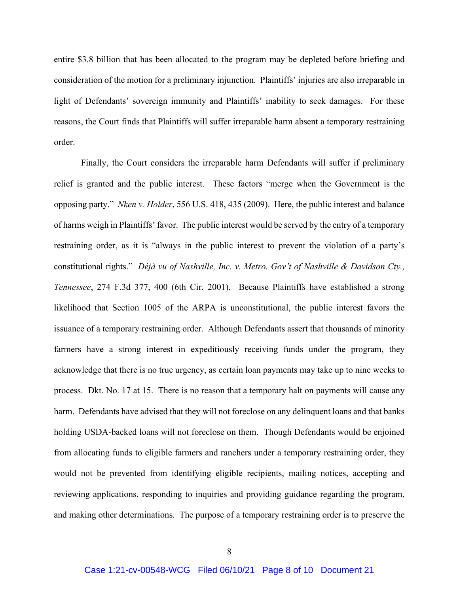entire \$3.8 billion that has been allocated to the program may be depleted before briefing and consideration of the motion for a preliminary injunction. Plaintiffs' injuries are also irreparable in light of Defendants' sovereign immunity and Plaintiffs' inability to seek damages. For these reasons, the Court finds that Plaintiffs will suffer irreparable harm absent a temporary restraining order.

Finally, the Court considers the irreparable harm Defendants will suffer if preliminary relief is granted and the public interest. These factors "merge when the Government is the opposing party." *Nken v. Holder*, 556 U.S. 418, 435 (2009). Here, the public interest and balance of harms weigh in Plaintiffs' favor. The public interest would be served by the entry of a temporary restraining order, as it is "always in the public interest to prevent the violation of a party's constitutional rights." *Déjà vu of Nashville, Inc. v. Metro. Gov't of Nashville & Davidson Cty., Tennessee*, 274 F.3d 377, 400 (6th Cir. 2001). Because Plaintiffs have established a strong likelihood that Section 1005 of the ARPA is unconstitutional, the public interest favors the issuance of a temporary restraining order. Although Defendants assert that thousands of minority farmers have a strong interest in expeditiously receiving funds under the program, they acknowledge that there is no true urgency, as certain loan payments may take up to nine weeks to process. Dkt. No. 17 at 15. There is no reason that a temporary halt on payments will cause any harm. Defendants have advised that they will not foreclose on any delinquent loans and that banks holding USDA-backed loans will not foreclose on them. Though Defendants would be enjoined from allocating funds to eligible farmers and ranchers under a temporary restraining order, they would not be prevented from identifying eligible recipients, mailing notices, accepting and reviewing applications, responding to inquiries and providing guidance regarding the program, and making other determinations. The purpose of a temporary restraining order is to preserve the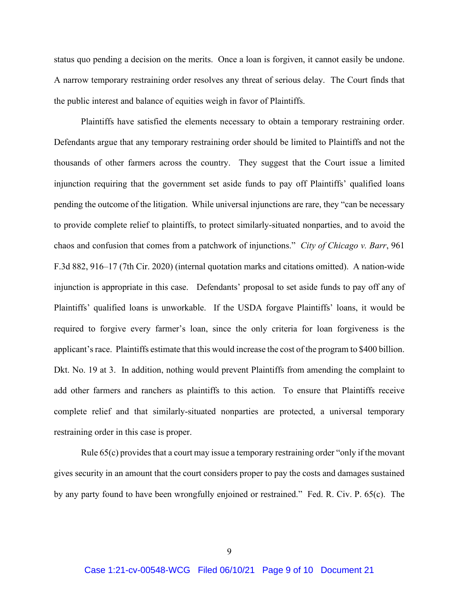status quo pending a decision on the merits. Once a loan is forgiven, it cannot easily be undone. A narrow temporary restraining order resolves any threat of serious delay. The Court finds that the public interest and balance of equities weigh in favor of Plaintiffs.

Plaintiffs have satisfied the elements necessary to obtain a temporary restraining order. Defendants argue that any temporary restraining order should be limited to Plaintiffs and not the thousands of other farmers across the country. They suggest that the Court issue a limited injunction requiring that the government set aside funds to pay off Plaintiffs' qualified loans pending the outcome of the litigation. While universal injunctions are rare, they "can be necessary to provide complete relief to plaintiffs, to protect similarly-situated nonparties, and to avoid the chaos and confusion that comes from a patchwork of injunctions." *City of Chicago v. Barr*, 961 F.3d 882, 916–17 (7th Cir. 2020) (internal quotation marks and citations omitted). A nation-wide injunction is appropriate in this case. Defendants' proposal to set aside funds to pay off any of Plaintiffs' qualified loans is unworkable. If the USDA forgave Plaintiffs' loans, it would be required to forgive every farmer's loan, since the only criteria for loan forgiveness is the applicant's race. Plaintiffs estimate that this would increase the cost of the program to \$400 billion. Dkt. No. 19 at 3. In addition, nothing would prevent Plaintiffs from amending the complaint to add other farmers and ranchers as plaintiffs to this action. To ensure that Plaintiffs receive complete relief and that similarly-situated nonparties are protected, a universal temporary restraining order in this case is proper.

Rule 65(c) provides that a court may issue a temporary restraining order "only if the movant gives security in an amount that the court considers proper to pay the costs and damages sustained by any party found to have been wrongfully enjoined or restrained." Fed. R. Civ. P. 65(c). The